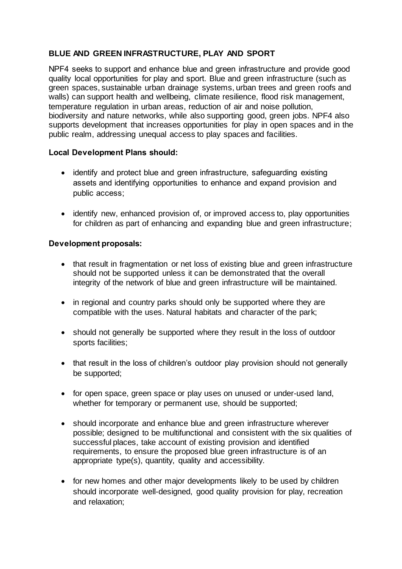# **BLUE AND GREEN INFRASTRUCTURE, PLAY AND SPORT**

NPF4 seeks to support and enhance blue and green infrastructure and provide good quality local opportunities for play and sport. Blue and green infrastructure (such as green spaces, sustainable urban drainage systems, urban trees and green roofs and walls) can support health and wellbeing, climate resilience, flood risk management, temperature regulation in urban areas, reduction of air and noise pollution, biodiversity and nature networks, while also supporting good, green jobs. NPF4 also supports development that increases opportunities for play in open spaces and in the public realm, addressing unequal access to play spaces and facilities.

# **Local Development Plans should:**

- identify and protect blue and green infrastructure, safeguarding existing assets and identifying opportunities to enhance and expand provision and public access;
- identify new, enhanced provision of, or improved access to, play opportunities for children as part of enhancing and expanding blue and green infrastructure;

### **Development proposals:**

- that result in fragmentation or net loss of existing blue and green infrastructure should not be supported unless it can be demonstrated that the overall integrity of the network of blue and green infrastructure will be maintained.
- in regional and country parks should only be supported where they are compatible with the uses. Natural habitats and character of the park;
- should not generally be supported where they result in the loss of outdoor sports facilities;
- that result in the loss of children's outdoor play provision should not generally be supported;
- for open space, green space or play uses on unused or under-used land, whether for temporary or permanent use, should be supported;
- should incorporate and enhance blue and green infrastructure wherever possible; designed to be multifunctional and consistent with the six qualities of successful places, take account of existing provision and identified requirements, to ensure the proposed blue green infrastructure is of an appropriate type(s), quantity, quality and accessibility.
- for new homes and other major developments likely to be used by children should incorporate well-designed, good quality provision for play, recreation and relaxation;